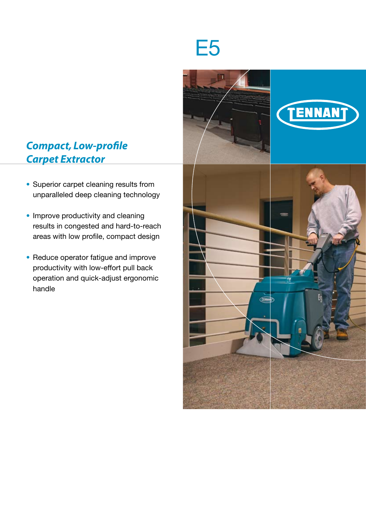## *Compact, Low-profile Carpet Extractor*

- Superior carpet cleaning results from unparalleled deep cleaning technology
- Improve productivity and cleaning results in congested and hard-to-reach areas with low profile, compact design
- Reduce operator fatigue and improve productivity with low-effort pull back operation and quick-adjust ergonomic handle



# E5